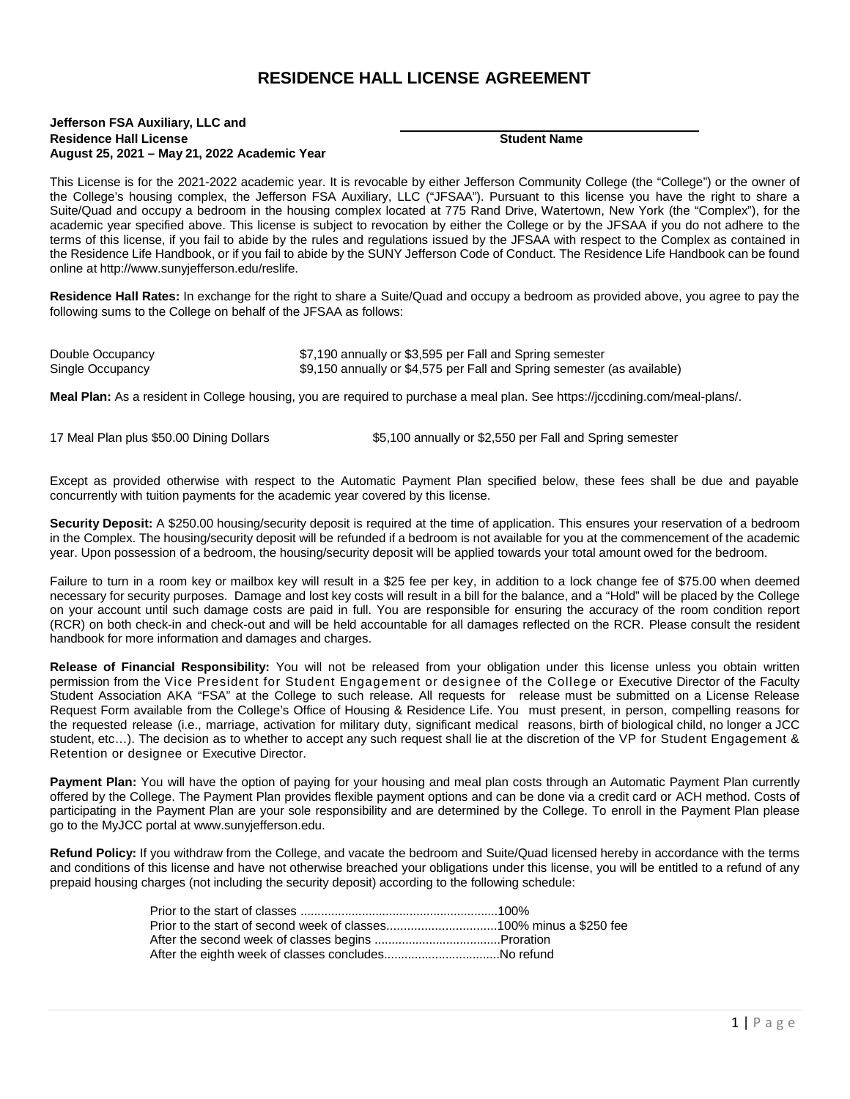## **RESIDENCE HALL LICENSE AGREEMENT**

## **Jefferson FSA Auxiliary, LLC and Residence Hall License Student Name August 25, 2021 – May 21, 2022 Academic Year**

This License is for the 2021-2022 academic year. It is revocable by either Jefferson Community College (the "College") or the owner of the College's housing complex, the Jefferson FSA Auxiliary, LLC ("JFSAA"). Pursuant to this license you have the right to share a Suite/Quad and occupy a bedroom in the housing complex located at 775 Rand Drive, Watertown, New York (the "Complex"), for the academic year specified above. This license is subject to revocation by either the College or by the JFSAA if you do not adhere to the terms of this license, if you fail to abide by the rules and regulations issued by the JFSAA with respect to the Complex as contained in the Residence Life Handbook, or if you fail to abide by the SUNY Jefferson Code of Conduct. The Residence Life Handbook can be found online at [http://www.sunyjefferson.edu/reslife.](http://www.sunyjefferson.edu/reslife)

**Residence Hall Rates:** In exchange for the right to share a Suite/Quad and occupy a bedroom as provided above, you agree to pay the following sums to the College on behalf of the JFSAA as follows:

| Double Occupancy | \$7,190 annually or \$3,595 per Fall and Spring semester                |
|------------------|-------------------------------------------------------------------------|
| Single Occupancy | \$9,150 annually or \$4,575 per Fall and Spring semester (as available) |

**Meal Plan:** As a resident in College housing, you are required to purchase a meal plan. See https://jccdining.com/meal-plans/.

17 Meal Plan plus \$50.00 Dining Dollars \$5,100 annually or \$2,550 per Fall and Spring semester

Except as provided otherwise with respect to the Automatic Payment Plan specified below, these fees shall be due and payable concurrently with tuition payments for the academic year covered by this license.

**Security Deposit:** A \$250.00 housing/security deposit is required at the time of application. This ensures your reservation of a bedroom in the Complex. The housing/security deposit will be refunded if a bedroom is not available for you at the commencement of the academic year. Upon possession of a bedroom, the housing/security deposit will be applied towards your total amount owed for the bedroom.

Failure to turn in a room key or mailbox key will result in a \$25 fee per key, in addition to a lock change fee of \$75.00 when deemed necessary for security purposes. Damage and lost key costs will result in a bill for the balance, and a "Hold" will be placed by the College on your account until such damage costs are paid in full. You are responsible for ensuring the accuracy of the room condition report (RCR) on both check-in and check-out and will be held accountable for all damages reflected on the RCR. Please consult the resident handbook for more information and damages and charges.

**Release of Financial Responsibility:** You will not be released from your obligation under this license unless you obtain written permission from the Vice President for Student Engagement or designee of the College or Executive Director of the Faculty Student Association AKA "FSA" at the College to such release. All requests for release must be submitted on a License Release Request Form available from the College's Office of Housing & Residence Life. You must present, in person, compelling reasons for the requested release (i.e., marriage, activation for military duty, significant medical reasons, birth of biological child, no longer a JCC student, etc...). The decision as to whether to accept any such request shall lie at the discretion of the VP for Student Engagement & Retention or designee or Executive Director.

**Payment Plan:** You will have the option of paying for your housing and meal plan costs through an Automatic Payment Plan currently offered by the College. The Payment Plan provides flexible payment options and can be done via a credit card or ACH method. Costs of participating in the Payment Plan are your sole responsibility and are determined by the College. To enroll in the Payment Plan please go to the MyJCC portal [at www.sunyjefferson.edu.](http://www.sunyjefferson.edu/)

**Refund Policy:** If you withdraw from the College, and vacate the bedroom and Suite/Quad licensed hereby in accordance with the terms and conditions of this license and have not otherwise breached your obligations under this license, you will be entitled to a refund of any prepaid housing charges (not including the security deposit) according to the following schedule: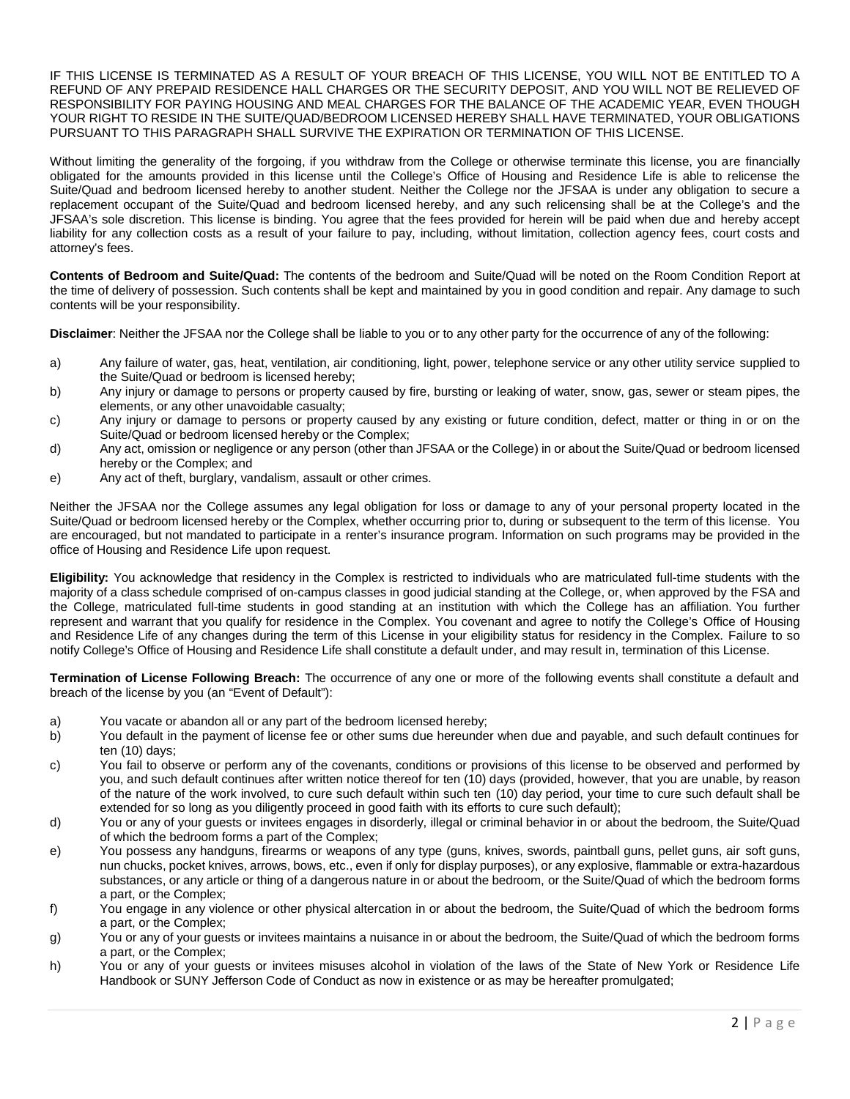IF THIS LICENSE IS TERMINATED AS A RESULT OF YOUR BREACH OF THIS LICENSE, YOU WILL NOT BE ENTITLED TO A REFUND OF ANY PREPAID RESIDENCE HALL CHARGES OR THE SECURITY DEPOSIT, AND YOU WILL NOT BE RELIEVED OF RESPONSIBILITY FOR PAYING HOUSING AND MEAL CHARGES FOR THE BALANCE OF THE ACADEMIC YEAR, EVEN THOUGH YOUR RIGHT TO RESIDE IN THE SUITE/QUAD/BEDROOM LICENSED HEREBY SHALL HAVE TERMINATED, YOUR OBLIGATIONS PURSUANT TO THIS PARAGRAPH SHALL SURVIVE THE EXPIRATION OR TERMINATION OF THIS LICENSE.

Without limiting the generality of the forgoing, if you withdraw from the College or otherwise terminate this license, you are financially obligated for the amounts provided in this license until the College's Office of Housing and Residence Life is able to relicense the Suite/Quad and bedroom licensed hereby to another student. Neither the College nor the JFSAA is under any obligation to secure a replacement occupant of the Suite/Quad and bedroom licensed hereby, and any such relicensing shall be at the College's and the JFSAA's sole discretion. This license is binding. You agree that the fees provided for herein will be paid when due and hereby accept liability for any collection costs as a result of your failure to pay, including, without limitation, collection agency fees, court costs and attorney's fees.

**Contents of Bedroom and Suite/Quad:** The contents of the bedroom and Suite/Quad will be noted on the Room Condition Report at the time of delivery of possession. Such contents shall be kept and maintained by you in good condition and repair. Any damage to such contents will be your responsibility.

**Disclaimer**: Neither the JFSAA nor the College shall be liable to you or to any other party for the occurrence of any of the following:

- a) Any failure of water, gas, heat, ventilation, air conditioning, light, power, telephone service or any other utility service supplied to the Suite/Quad or bedroom is licensed hereby;
- b) Any injury or damage to persons or property caused by fire, bursting or leaking of water, snow, gas, sewer or steam pipes, the elements, or any other unavoidable casualty;
- c) Any injury or damage to persons or property caused by any existing or future condition, defect, matter or thing in or on the Suite/Quad or bedroom licensed hereby or the Complex;
- d) Any act, omission or negligence or any person (other than JFSAA or the College) in or about the Suite/Quad or bedroom licensed hereby or the Complex; and
- e) Any act of theft, burglary, vandalism, assault or other crimes.

Neither the JFSAA nor the College assumes any legal obligation for loss or damage to any of your personal property located in the Suite/Quad or bedroom licensed hereby or the Complex, whether occurring prior to, during or subsequent to the term of this license. You are encouraged, but not mandated to participate in a renter's insurance program. Information on such programs may be provided in the office of Housing and Residence Life upon request.

**Eligibility:** You acknowledge that residency in the Complex is restricted to individuals who are matriculated full-time students with the majority of a class schedule comprised of on-campus classes in good judicial standing at the College, or, when approved by the FSA and the College, matriculated full-time students in good standing at an institution with which the College has an affiliation. You further represent and warrant that you qualify for residence in the Complex. You covenant and agree to notify the College's Office of Housing and Residence Life of any changes during the term of this License in your eligibility status for residency in the Complex. Failure to so notify College's Office of Housing and Residence Life shall constitute a default under, and may result in, termination of this License.

**Termination of License Following Breach:** The occurrence of any one or more of the following events shall constitute a default and breach of the license by you (an "Event of Default"):

- a) You vacate or abandon all or any part of the bedroom licensed hereby;
- b) You default in the payment of license fee or other sums due hereunder when due and payable, and such default continues for ten (10) days;
- c) You fail to observe or perform any of the covenants, conditions or provisions of this license to be observed and performed by you, and such default continues after written notice thereof for ten (10) days (provided, however, that you are unable, by reason of the nature of the work involved, to cure such default within such ten (10) day period, your time to cure such default shall be extended for so long as you diligently proceed in good faith with its efforts to cure such default);
- d) You or any of your guests or invitees engages in disorderly, illegal or criminal behavior in or about the bedroom, the Suite/Quad of which the bedroom forms a part of the Complex;
- e) You possess any handguns, firearms or weapons of any type (guns, knives, swords, paintball guns, pellet guns, air soft guns, nun chucks, pocket knives, arrows, bows, etc., even if only for display purposes), or any explosive, flammable or extra-hazardous substances, or any article or thing of a dangerous nature in or about the bedroom, or the Suite/Quad of which the bedroom forms a part, or the Complex;
- f) You engage in any violence or other physical altercation in or about the bedroom, the Suite/Quad of which the bedroom forms a part, or the Complex;
- g) You or any of your guests or invitees maintains a nuisance in or about the bedroom, the Suite/Quad of which the bedroom forms a part, or the Complex;
- h) You or any of your guests or invitees misuses alcohol in violation of the laws of the State of New York or Residence Life Handbook or SUNY Jefferson Code of Conduct as now in existence or as may be hereafter promulgated;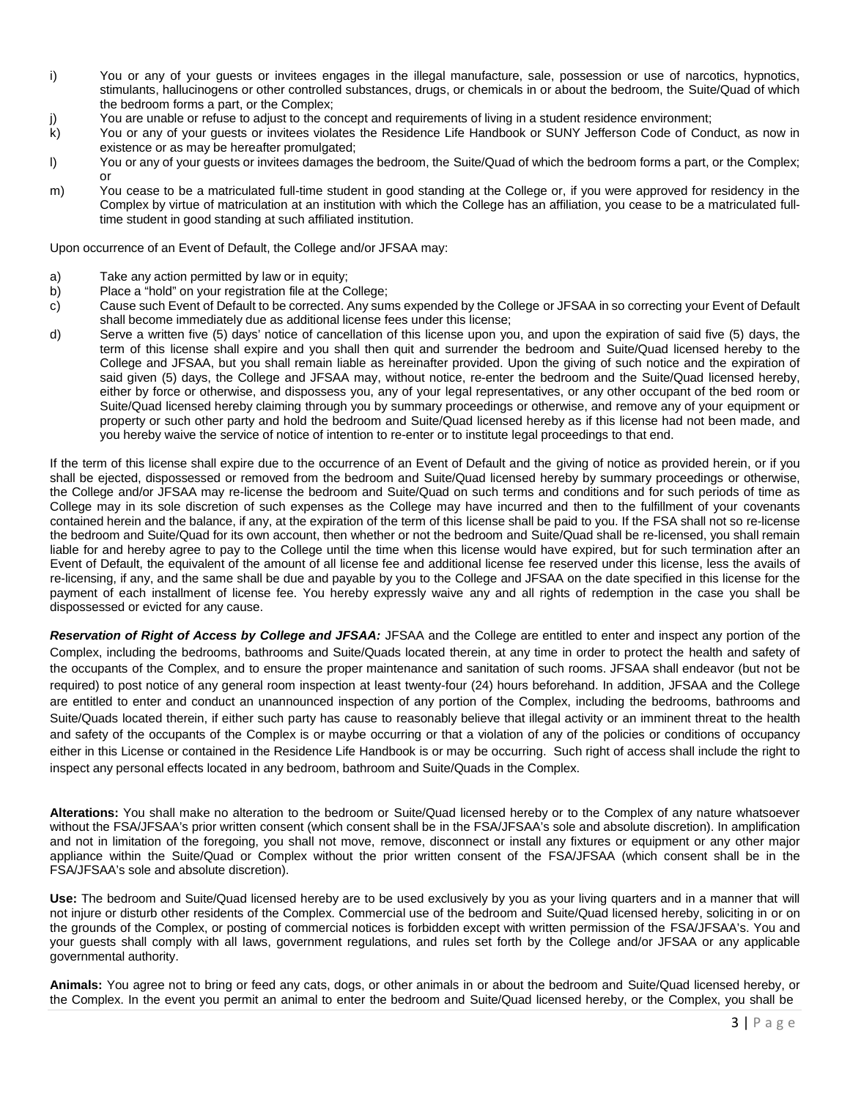- i) You or any of your guests or invitees engages in the illegal manufacture, sale, possession or use of narcotics, hypnotics, stimulants, hallucinogens or other controlled substances, drugs, or chemicals in or about the bedroom, the Suite/Quad of which the bedroom forms a part, or the Complex;
- j) You are unable or refuse to adjust to the concept and requirements of living in a student residence environment;
- k) You or any of your guests or invitees violates the Residence Life Handbook or SUNY Jefferson Code of Conduct, as now in existence or as may be hereafter promulgated;
- l) You or any of your guests or invitees damages the bedroom, the Suite/Quad of which the bedroom forms a part, or the Complex; or
- m) You cease to be a matriculated full-time student in good standing at the College or, if you were approved for residency in the Complex by virtue of matriculation at an institution with which the College has an affiliation, you cease to be a matriculated fulltime student in good standing at such affiliated institution.

Upon occurrence of an Event of Default, the College and/or JFSAA may:

- a) Take any action permitted by law or in equity;
- b) Place a "hold" on your registration file at the College;
- c) Cause such Event of Default to be corrected. Any sums expended by the College or JFSAA in so correcting your Event of Default shall become immediately due as additional license fees under this license;
- d) Serve a written five (5) days' notice of cancellation of this license upon you, and upon the expiration of said five (5) days, the term of this license shall expire and you shall then quit and surrender the bedroom and Suite/Quad licensed hereby to the College and JFSAA, but you shall remain liable as hereinafter provided. Upon the giving of such notice and the expiration of said given (5) days, the College and JFSAA may, without notice, re-enter the bedroom and the Suite/Quad licensed hereby, either by force or otherwise, and dispossess you, any of your legal representatives, or any other occupant of the bed room or Suite/Quad licensed hereby claiming through you by summary proceedings or otherwise, and remove any of your equipment or property or such other party and hold the bedroom and Suite/Quad licensed hereby as if this license had not been made, and you hereby waive the service of notice of intention to re-enter or to institute legal proceedings to that end.

If the term of this license shall expire due to the occurrence of an Event of Default and the giving of notice as provided herein, or if you shall be ejected, dispossessed or removed from the bedroom and Suite/Quad licensed hereby by summary proceedings or otherwise, the College and/or JFSAA may re-license the bedroom and Suite/Quad on such terms and conditions and for such periods of time as College may in its sole discretion of such expenses as the College may have incurred and then to the fulfillment of your covenants contained herein and the balance, if any, at the expiration of the term of this license shall be paid to you. If the FSA shall not so re-license the bedroom and Suite/Quad for its own account, then whether or not the bedroom and Suite/Quad shall be re-licensed, you shall remain liable for and hereby agree to pay to the College until the time when this license would have expired, but for such termination after an Event of Default, the equivalent of the amount of all license fee and additional license fee reserved under this license, less the avails of re-licensing, if any, and the same shall be due and payable by you to the College and JFSAA on the date specified in this license for the payment of each installment of license fee. You hereby expressly waive any and all rights of redemption in the case you shall be dispossessed or evicted for any cause.

*Reservation of Right of Access by College and JFSAA:* JFSAA and the College are entitled to enter and inspect any portion of the Complex, including the bedrooms, bathrooms and Suite/Quads located therein, at any time in order to protect the health and safety of the occupants of the Complex, and to ensure the proper maintenance and sanitation of such rooms. JFSAA shall endeavor (but not be required) to post notice of any general room inspection at least twenty-four (24) hours beforehand. In addition, JFSAA and the College are entitled to enter and conduct an unannounced inspection of any portion of the Complex, including the bedrooms, bathrooms and Suite/Quads located therein, if either such party has cause to reasonably believe that illegal activity or an imminent threat to the health and safety of the occupants of the Complex is or maybe occurring or that a violation of any of the policies or conditions of occupancy either in this License or contained in the Residence Life Handbook is or may be occurring. Such right of access shall include the right to inspect any personal effects located in any bedroom, bathroom and Suite/Quads in the Complex.

**Alterations:** You shall make no alteration to the bedroom or Suite/Quad licensed hereby or to the Complex of any nature whatsoever without the FSA/JFSAA's prior written consent (which consent shall be in the FSA/JFSAA's sole and absolute discretion). In amplification and not in limitation of the foregoing, you shall not move, remove, disconnect or install any fixtures or equipment or any other major appliance within the Suite/Quad or Complex without the prior written consent of the FSA/JFSAA (which consent shall be in the FSA/JFSAA's sole and absolute discretion).

**Use:** The bedroom and Suite/Quad licensed hereby are to be used exclusively by you as your living quarters and in a manner that will not injure or disturb other residents of the Complex. Commercial use of the bedroom and Suite/Quad licensed hereby, soliciting in or on the grounds of the Complex, or posting of commercial notices is forbidden except with written permission of the FSA/JFSAA's. You and your guests shall comply with all laws, government regulations, and rules set forth by the College and/or JFSAA or any applicable governmental authority.

**Animals:** You agree not to bring or feed any cats, dogs, or other animals in or about the bedroom and Suite/Quad licensed hereby, or the Complex. In the event you permit an animal to enter the bedroom and Suite/Quad licensed hereby, or the Complex, you shall be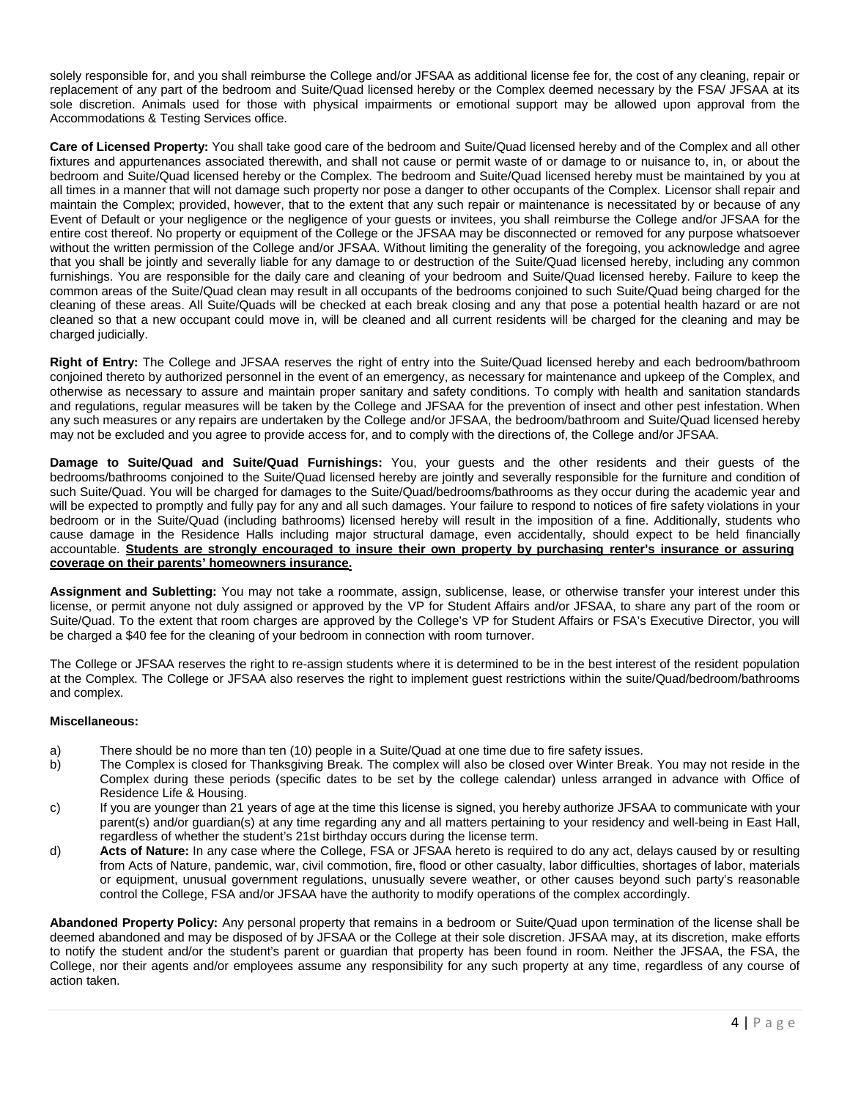solely responsible for, and you shall reimburse the College and/or JFSAA as additional license fee for, the cost of any cleaning, repair or replacement of any part of the bedroom and Suite/Quad licensed hereby or the Complex deemed necessary by the FSA/ JFSAA at its sole discretion. Animals used for those with physical impairments or emotional support may be allowed upon approval from the Accommodations & Testing Services office.

**Care of Licensed Property:** You shall take good care of the bedroom and Suite/Quad licensed hereby and of the Complex and all other fixtures and appurtenances associated therewith, and shall not cause or permit waste of or damage to or nuisance to, in, or about the bedroom and Suite/Quad licensed hereby or the Complex. The bedroom and Suite/Quad licensed hereby must be maintained by you at all times in a manner that will not damage such property nor pose a danger to other occupants of the Complex. Licensor shall repair and maintain the Complex; provided, however, that to the extent that any such repair or maintenance is necessitated by or because of any Event of Default or your negligence or the negligence of your guests or invitees, you shall reimburse the College and/or JFSAA for the entire cost thereof. No property or equipment of the College or the JFSAA may be disconnected or removed for any purpose whatsoever without the written permission of the College and/or JFSAA. Without limiting the generality of the foregoing, you acknowledge and agree that you shall be jointly and severally liable for any damage to or destruction of the Suite/Quad licensed hereby, including any common furnishings. You are responsible for the daily care and cleaning of your bedroom and Suite/Quad licensed hereby. Failure to keep the common areas of the Suite/Quad clean may result in all occupants of the bedrooms conjoined to such Suite/Quad being charged for the cleaning of these areas. All Suite/Quads will be checked at each break closing and any that pose a potential health hazard or are not cleaned so that a new occupant could move in, will be cleaned and all current residents will be charged for the cleaning and may be charged judicially.

**Right of Entry:** The College and JFSAA reserves the right of entry into the Suite/Quad licensed hereby and each bedroom/bathroom conjoined thereto by authorized personnel in the event of an emergency, as necessary for maintenance and upkeep of the Complex, and otherwise as necessary to assure and maintain proper sanitary and safety conditions. To comply with health and sanitation standards and regulations, regular measures will be taken by the College and JFSAA for the prevention of insect and other pest infestation. When any such measures or any repairs are undertaken by the College and/or JFSAA, the bedroom/bathroom and Suite/Quad licensed hereby may not be excluded and you agree to provide access for, and to comply with the directions of, the College and/or JFSAA.

**Damage to Suite/Quad and Suite/Quad Furnishings:** You, your guests and the other residents and their guests of the bedrooms/bathrooms conjoined to the Suite/Quad licensed hereby are jointly and severally responsible for the furniture and condition of such Suite/Quad. You will be charged for damages to the Suite/Quad/bedrooms/bathrooms as they occur during the academic year and will be expected to promptly and fully pay for any and all such damages. Your failure to respond to notices of fire safety violations in your bedroom or in the Suite/Quad (including bathrooms) licensed hereby will result in the imposition of a fine. Additionally, students who cause damage in the Residence Halls including major structural damage, even accidentally, should expect to be held financially accountable. **Students are strongly encouraged to insure their own property by purchasing renter's insurance or assuring coverage on their parents' homeowners insurance.**

**Assignment and Subletting:** You may not take a roommate, assign, sublicense, lease, or otherwise transfer your interest under this license, or permit anyone not duly assigned or approved by the VP for Student Affairs and/or JFSAA, to share any part of the room or Suite/Quad. To the extent that room charges are approved by the College's VP for Student Affairs or FSA's Executive Director, you will be charged a \$40 fee for the cleaning of your bedroom in connection with room turnover.

The College or JFSAA reserves the right to re-assign students where it is determined to be in the best interest of the resident population at the Complex. The College or JFSAA also reserves the right to implement guest restrictions within the suite/Quad/bedroom/bathrooms and complex.

## **Miscellaneous:**

- a) There should be no more than ten (10) people in a Suite/Quad at one time due to fire safety issues.
- b) The Complex is closed for Thanksgiving Break. The complex will also be closed over Winter Break. You may not reside in the Complex during these periods (specific dates to be set by the college calendar) unless arranged in advance with Office of Residence Life & Housing.
- c) If you are younger than 21 years of age at the time this license is signed, you hereby authorize JFSAA to communicate with your parent(s) and/or guardian(s) at any time regarding any and all matters pertaining to your residency and well-being in East Hall, regardless of whether the student's 21st birthday occurs during the license term.
- d) **Acts of Nature:** In any case where the College, FSA or JFSAA hereto is required to do any act, delays caused by or resulting from Acts of Nature, pandemic, war, civil commotion, fire, flood or other casualty, labor difficulties, shortages of labor, materials or equipment, unusual government regulations, unusually severe weather, or other causes beyond such party's reasonable control the College, FSA and/or JFSAA have the authority to modify operations of the complex accordingly.

**Abandoned Property Policy:** Any personal property that remains in a bedroom or Suite/Quad upon termination of the license shall be deemed abandoned and may be disposed of by JFSAA or the College at their sole discretion. JFSAA may, at its discretion, make efforts to notify the student and/or the student's parent or guardian that property has been found in room. Neither the JFSAA, the FSA, the College, nor their agents and/or employees assume any responsibility for any such property at any time, regardless of any course of action taken.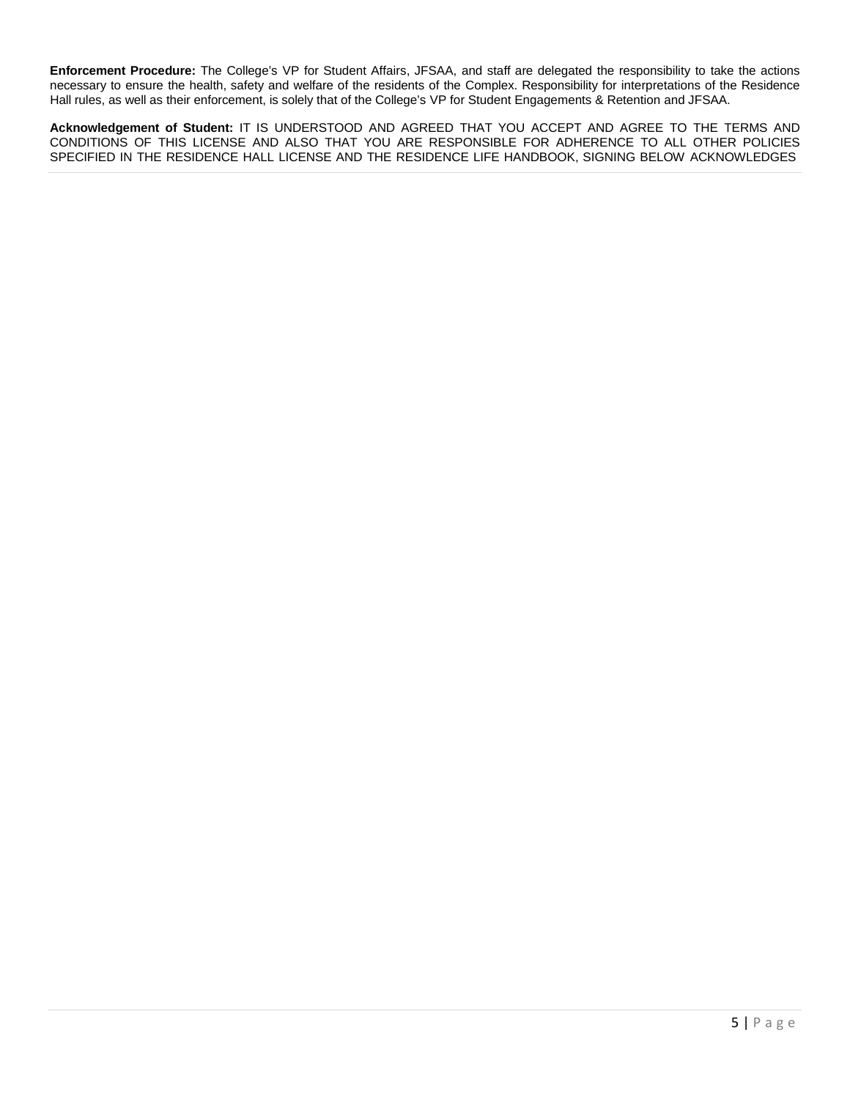**Enforcement Procedure:** The College's VP for Student Affairs, JFSAA, and staff are delegated the responsibility to take the actions necessary to ensure the health, safety and welfare of the residents of the Complex. Responsibility for interpretations of the Residence Hall rules, as well as their enforcement, is solely that of the College's VP for Student Engagements & Retention and JFSAA.

**Acknowledgement of Student:** IT IS UNDERSTOOD AND AGREED THAT YOU ACCEPT AND AGREE TO THE TERMS AND CONDITIONS OF THIS LICENSE AND ALSO THAT YOU ARE RESPONSIBLE FOR ADHERENCE TO ALL OTHER POLICIES SPECIFIED IN THE RESIDENCE HALL LICENSE AND THE RESIDENCE LIFE HANDBOOK, SIGNING BELOW ACKNOWLEDGES